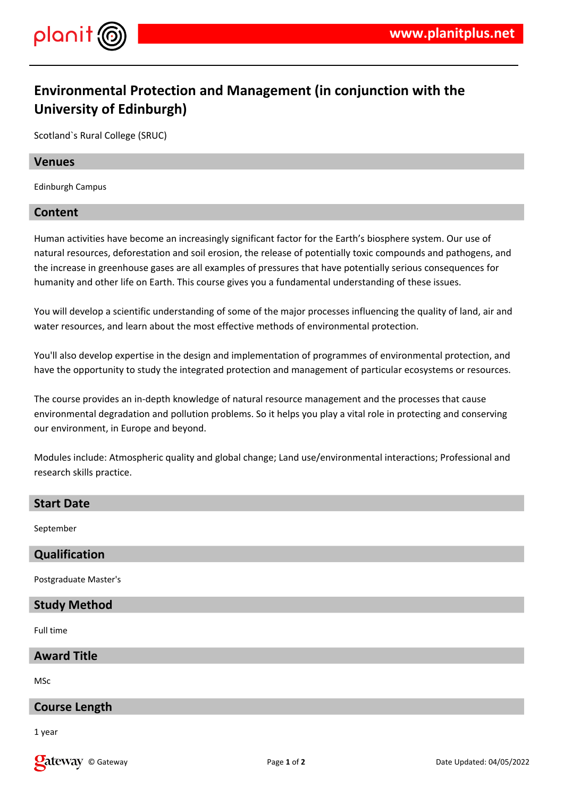

## **Environmental Protection and Management (in conjunction with the University of Edinburgh)**

Scotland`s Rural College (SRUC)

#### **Venues**

Edinburgh Campus

#### **Content**

Human activities have become an increasingly significant factor for the Earth's biosphere system. Our use of natural resources, deforestation and soil erosion, the release of potentially toxic compounds and pathogens, and the increase in greenhouse gases are all examples of pressures that have potentially serious consequences for humanity and other life on Earth. This course gives you a fundamental understanding of these issues.

You will develop a scientific understanding of some of the major processes influencing the quality of land, air and water resources, and learn about the most effective methods of environmental protection.

You'll also develop expertise in the design and implementation of programmes of environmental protection, and have the opportunity to study the integrated protection and management of particular ecosystems or resources.

The course provides an in-depth knowledge of natural resource management and the processes that cause environmental degradation and pollution problems. So it helps you play a vital role in protecting and conserving our environment, in Europe and beyond.

Modules include: Atmospheric quality and global change; Land use/environmental interactions; Professional and research skills practice.

# **Start Date** September **Qualification** Postgraduate Master's **Study Method**

Full time

#### **Award Title**

MSc

#### **Course Length**

1 year